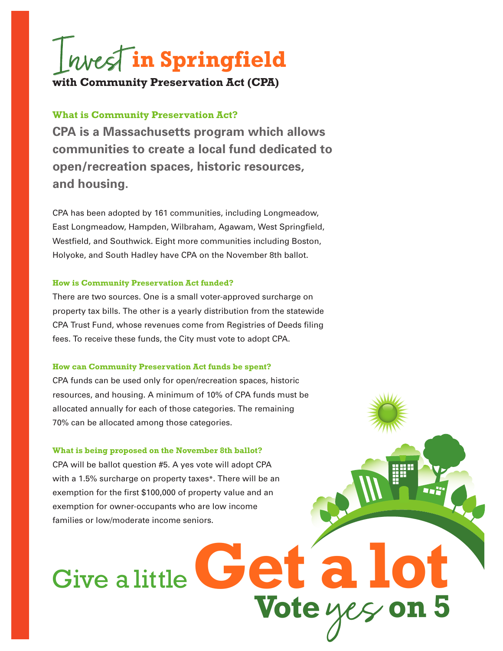

## **What is Community Preservation Act?**

**CPA is a Massachusetts program which allows communities to create a local fund dedicated to open/recreation spaces, historic resources, and housing.** 

CPA has been adopted by 161 communities, including Longmeadow, East Longmeadow, Hampden, Wilbraham, Agawam, West Springfield, Westfield, and Southwick. Eight more communities including Boston, Holyoke, and South Hadley have CPA on the November 8th ballot.

### **How is Community Preservation Act funded?**

There are two sources. One is a small voter-approved surcharge on property tax bills. The other is a yearly distribution from the statewide CPA Trust Fund, whose revenues come from Registries of Deeds filing fees. To receive these funds, the City must vote to adopt CPA.

### **How can Community Preservation Act funds be spent?**

CPA funds can be used only for open/recreation spaces, historic resources, and housing. A minimum of 10% of CPA funds must be allocated annually for each of those categories. The remaining 70% can be allocated among those categories.

### **What is being proposed on the November 8th ballot?**

CPA will be ballot question #5. A yes vote will adopt CPA with a 1.5% surcharge on property taxes\*. There will be an exemption for the first \$100,000 of property value and an exemption for owner-occupants who are low income families or low/moderate income seniors.

**Vote** yes **on 5**

# Give a little Get a!